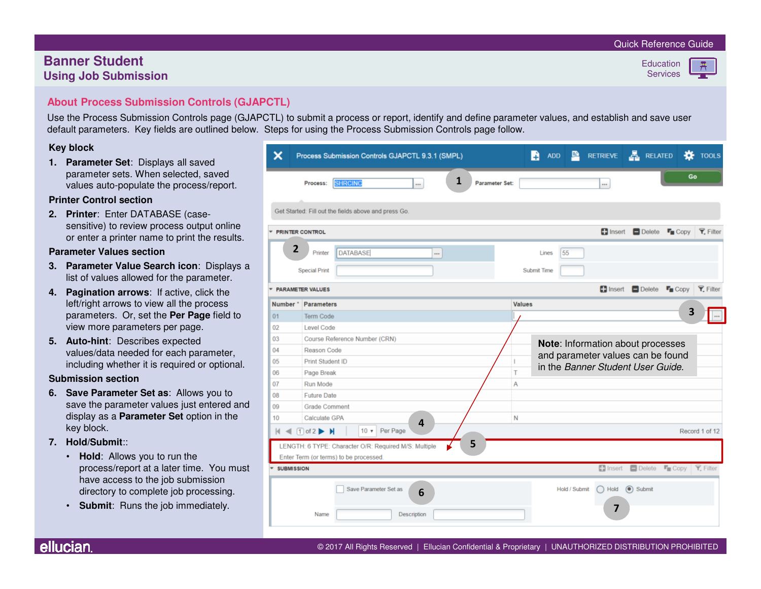#### Quick Reference Guide

# **Banner StudentUsing Job Submission**

# **Education**

**Services** 

## **About Process Submission Controls (GJAPCTL)**

Use the Process Submission Controls page (GJAPCTL) to submit a process or report, identify and define parameter values, and establish and save user default parameters. Key fields are outlined below. Steps for using the Process Submission Controls page follow.

#### **Key block**

 **1. Parameter Set**: Displays all saved parameter sets. When selected, saved values auto-populate the process/report.

#### **Printer Control section**

 **2. Printer**: Enter DATABASE (casesensitive) to review process output online or enter a printer name to print the results.

#### **Parameter Values section**

- **3. Parameter Value Search icon**: Displays a list of values allowed for the parameter.
- **4. Pagination arrows**: If active, click the left/right arrows to view all the process parameters. Or, set the **Per Page** field to view more parameters per page.
- **5. Auto-hint**: Describes expected values/data needed for each parameter, including whether it is required or optional.

#### **Submission section**

- **6. Save Parameter Set as**: Allows you to save the parameter values just entered and display as a **Parameter Set** option in the key block.
- **7. Hold/Submit**::
	- **Hold**: Allows you to run the process/report at a later time. You must have access to the job submission directory to complete job processing.
	- **Submit**: Runs the job immediately.

| ×                                                                            | Process Submission Controls GJAPCTL 9.3.1 (SMPL)                                 | ADD <b>P</b> RETRIEVE <b>A</b> RELATED<br><b>K</b> TOOLS<br>n               |  |  |  |  |  |  |
|------------------------------------------------------------------------------|----------------------------------------------------------------------------------|-----------------------------------------------------------------------------|--|--|--|--|--|--|
|                                                                              | 1<br><b>SHRCING</b><br>Process:<br>$\cdots$                                      | Go<br>Parameter Set:<br>                                                    |  |  |  |  |  |  |
| Get Started: Fill out the fields above and press Go.                         |                                                                                  |                                                                             |  |  |  |  |  |  |
| ٠                                                                            | <b>PRINTER CONTROL</b>                                                           | $\blacksquare$ Insert<br>$\Box$ Delete<br>$\Gamma$ Copy<br><b>Y.</b> Filter |  |  |  |  |  |  |
|                                                                              | $\overline{2}$<br><b>DATABASE</b><br>Printer<br>$\cdots$<br><b>Special Print</b> | 55<br>Lines<br>Submit Time                                                  |  |  |  |  |  |  |
|                                                                              |                                                                                  |                                                                             |  |  |  |  |  |  |
|                                                                              | <b>PARAMETER VALUES</b>                                                          | nsert <b>Delete</b><br>$\Gamma$ Copy<br><b>Y.</b> Filter                    |  |  |  |  |  |  |
| Number <sup>*</sup>                                                          | Parameters                                                                       | Values                                                                      |  |  |  |  |  |  |
| 01                                                                           | Term Code                                                                        | 3                                                                           |  |  |  |  |  |  |
| 02                                                                           | Level Code                                                                       |                                                                             |  |  |  |  |  |  |
| 03                                                                           | Course Reference Number (CRN)                                                    | Note: Information about processes                                           |  |  |  |  |  |  |
| 04                                                                           | <b>Reason Code</b>                                                               | and parameter values can be found                                           |  |  |  |  |  |  |
| 05                                                                           | Print Student ID                                                                 | $\mathsf{I}$<br>in the Banner Student User Guide.                           |  |  |  |  |  |  |
| 06                                                                           | Page Break                                                                       | T                                                                           |  |  |  |  |  |  |
| 07                                                                           | Run Mode                                                                         | Α                                                                           |  |  |  |  |  |  |
| 08                                                                           | <b>Future Date</b>                                                               |                                                                             |  |  |  |  |  |  |
| 09                                                                           | <b>Grade Comment</b>                                                             |                                                                             |  |  |  |  |  |  |
| 10                                                                           | Calculate GPA<br>4                                                               | N                                                                           |  |  |  |  |  |  |
| Per Page<br>$M \triangleleft \Box$ of 2 $M$<br>$10 \times$<br>Record 1 of 12 |                                                                                  |                                                                             |  |  |  |  |  |  |
|                                                                              | 5<br>LENGTH: 6 TYPE: Character O/R: Required M/S: Multiple                       |                                                                             |  |  |  |  |  |  |
| Enter Term (or terms) to be processed.                                       |                                                                                  |                                                                             |  |  |  |  |  |  |
|                                                                              | <b>SUBMISSION</b>                                                                | La Insert Delete La Copy Y, Filter                                          |  |  |  |  |  |  |
|                                                                              | Save Parameter Set as<br>6                                                       | $\odot$ Submit<br>Hold / Submit<br>$\bigcap$ Hold<br>7                      |  |  |  |  |  |  |
|                                                                              | Description<br>Name                                                              |                                                                             |  |  |  |  |  |  |